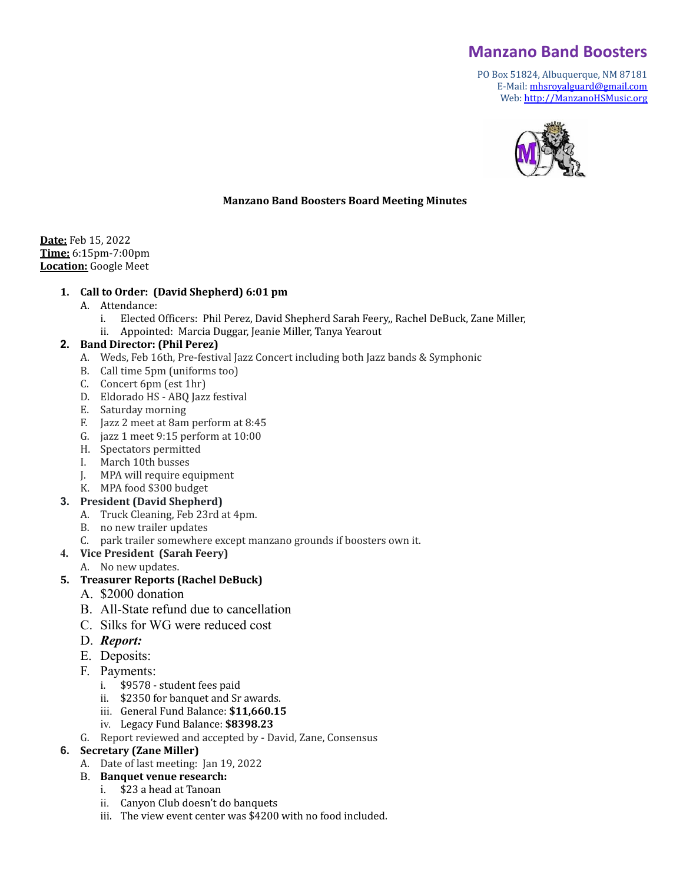# **Manzano Band Boosters**

PO Box 51824, Albuquerque, NM 87181 E-Mail: [mhsroyalguard@gmail.com](mailto:mhsroyalguard@gmail.com) Web: [http://ManzanoHSMusic.org](http://manzanohsmusic.org)



#### **Manzano Band Boosters Board Meeting Minutes**

**Date:** Feb 15, 2022 **Time:** 6:15pm-7:00pm **Location:** Google Meet

#### **1. Call to Order: (David Shepherd) 6:01 pm**

- A. Attendance:
	- i. Elected Officers: Phil Perez, David Shepherd Sarah Feery,, Rachel DeBuck, Zane Miller,
	- ii. Appointed: Marcia Duggar, Jeanie Miller, Tanya Yearout

#### **2. Band Director: (Phil Perez)**

- A. Weds, Feb 16th, Pre-festival Jazz Concert including both Jazz bands & Symphonic
- B. Call time 5pm (uniforms too)
- C. Concert 6pm (est 1hr)
- D. Eldorado HS ABQ Jazz festival
- E. Saturday morning
- F. Jazz 2 meet at 8am perform at 8:45
- G. jazz 1 meet 9:15 perform at 10:00
- H. Spectators permitted
- I. March 10th busses
- J. MPA will require equipment
- K. MPA food \$300 budget
- **3. President (David Shepherd)**
	- A. Truck Cleaning, Feb 23rd at 4pm.
	- B. no new trailer updates
	- C. park trailer somewhere except manzano grounds if boosters own it.
- **4. Vice President (Sarah Feery)**
	- A. No new updates.

#### **5. Treasurer Reports (Rachel DeBuck)**

- A. \$2000 donation
- B. All-State refund due to cancellation
- C. Silks for WG were reduced cost
- D. *Report:*
- E. Deposits:
- F. Payments:
	- i. \$9578 student fees paid
	- ii. \$2350 for banquet and Sr awards.
	- iii. General Fund Balance: **\$11,660.15**
	- iv. Legacy Fund Balance: **\$8398.23**
- G. Report reviewed and accepted by David, Zane, Consensus

#### **6. Secretary (Zane Miller)**

- A. Date of last meeting: Jan 19, 2022
- B. **Banquet venue research:**
	- i. \$23 a head at Tanoan
	- ii. Canyon Club doesn't do banquets
	- iii. The view event center was \$4200 with no food included.